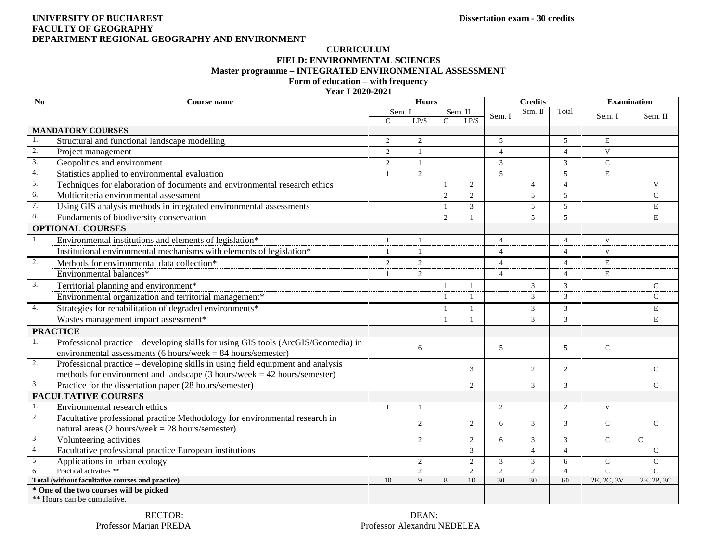### **UNIVERSITY OF BUCHAREST Dissertation exam - 30 credits FACULTY OF GEOGRAPHY DEPARTMENT REGIONAL GEOGRAPHY AND ENVIRONMENT**

## **CURRICULUM FIELD: ENVIRONMENTAL SCIENCES Master programme – INTEGRATED ENVIRONMENTAL ASSESSMENT**

# **Form of education – with frequency**

## **Year I 2020-2021**

| No                                               | Course name                                                                                | <b>Hours</b>   |                |                |                | <b>Credits</b> |                |                | <b>Examination</b> |                |
|--------------------------------------------------|--------------------------------------------------------------------------------------------|----------------|----------------|----------------|----------------|----------------|----------------|----------------|--------------------|----------------|
|                                                  |                                                                                            | Sem. I         |                | Sem. II        |                | Sem. I         | Sem. II        | Total          | Sem. I             | Sem. II        |
|                                                  |                                                                                            | $\mathcal{C}$  | LP/S           | $\mathcal{C}$  | LP/S           |                |                |                |                    |                |
| <b>MANDATORY COURSES</b>                         |                                                                                            |                |                |                |                |                |                |                |                    |                |
|                                                  | Structural and functional landscape modelling                                              | 2              | $\overline{2}$ |                |                | 5              |                | 5              | $\mathbf E$        |                |
| 2.                                               | Project management                                                                         | $\overline{2}$ | $\mathbf{1}$   |                |                | $\overline{4}$ |                | $\overline{4}$ | $\mathbf{V}$       |                |
| 3.                                               | Geopolitics and environment                                                                | 2              | $\mathbf{1}$   |                |                | 3              |                | 3              | $\mathcal{C}$      |                |
| 4.                                               | Statistics applied to environmental evaluation                                             | $\mathbf{1}$   | $\overline{2}$ |                |                | $\overline{5}$ |                | 5              | $\mathbf E$        |                |
| 5.                                               | Techniques for elaboration of documents and environmental research ethics                  |                |                |                | $\overline{2}$ |                | $\overline{4}$ | $\overline{4}$ |                    | $\mathbf{V}$   |
| 6.                                               | Multicriteria environmental assessment                                                     |                |                | $\overline{2}$ | $\overline{2}$ |                | $\mathfrak{F}$ | 5              |                    | $\mathbf C$    |
| 7.                                               | Using GIS analysis methods in integrated environmental assessments                         |                |                | -1             | $\overline{3}$ |                | 5              | 5              |                    | E              |
| 8.                                               | Fundaments of biodiversity conservation                                                    |                |                | $\overline{2}$ | -1             |                | 5              | 5              |                    | E              |
|                                                  | <b>OPTIONAL COURSES</b>                                                                    |                |                |                |                |                |                |                |                    |                |
| 1.                                               | Environmental institutions and elements of legislation*                                    | $\mathbf{1}$   | $\mathbf{1}$   |                |                | $\overline{4}$ |                | $\overline{4}$ | $\mathbf{V}$       |                |
|                                                  | Institutional environmental mechanisms with elements of legislation*                       |                | $\mathbf{1}$   |                |                | $\overline{4}$ |                | $\Delta$       | V                  |                |
| 2.                                               | Methods for environmental data collection*                                                 | 2              | $\overline{2}$ |                |                | $\overline{4}$ |                | $\overline{4}$ | E                  |                |
|                                                  | Environmental balances*                                                                    |                | $\overline{2}$ |                |                | $\overline{4}$ |                | $\overline{4}$ | $\mathbf E$        |                |
| 3.                                               | Territorial planning and environment*                                                      |                |                | -1             | -1             |                | 3              | 3              |                    | $\mathsf{C}$   |
|                                                  | Environmental organization and territorial management*                                     |                |                | -1             | $\mathbf{1}$   |                | $\mathfrak{Z}$ | 3              |                    | $\mathsf{C}$   |
| 4.                                               | Strategies for rehabilitation of degraded environments*                                    |                |                | $\mathbf{1}$   | $\mathbf{1}$   |                | 3              | 3              |                    | E              |
|                                                  | Wastes management impact assessment*                                                       |                |                |                |                |                | 3              | 3              |                    | E              |
| <b>PRACTICE</b>                                  |                                                                                            |                |                |                |                |                |                |                |                    |                |
| 1.                                               | Professional practice - developing skills for using GIS tools (ArcGIS/Geomedia) in         |                |                |                |                |                |                |                |                    |                |
|                                                  | environmental assessments (6 hours/week = $84$ hours/semester)                             |                | 6              |                |                | 5              |                | 5              | $\mathsf{C}$       |                |
| 2.                                               | Professional practice – developing skills in using field equipment and analysis            |                |                |                |                |                |                |                |                    |                |
|                                                  | methods for environment and landscape $(3 \text{ hours/week} = 42 \text{ hours/semester})$ |                |                |                | 3              |                | $\overline{2}$ | $\overline{2}$ |                    | $\mathcal{C}$  |
| 3                                                | Practice for the dissertation paper (28 hours/semester)                                    |                |                |                | $\overline{2}$ |                | 3              | 3              |                    | $\mathcal{C}$  |
| <b>FACULTATIVE COURSES</b>                       |                                                                                            |                |                |                |                |                |                |                |                    |                |
| 1.                                               | Environmental research ethics                                                              | $\mathbf{1}$   |                |                |                | 2              |                | $\overline{2}$ | $\mathbf{V}$       |                |
| $\overline{2}$                                   | Facultative professional practice Methodology for environmental research in                |                |                |                |                |                |                |                |                    |                |
|                                                  | natural areas (2 hours/week = $28$ hours/semester)                                         |                | 2              |                | 2              | 6              | 3              | 3              | $\mathsf{C}$       | $\mathcal{C}$  |
| 3                                                | Volunteering activities                                                                    |                | $\mathfrak{D}$ |                | $\mathfrak{2}$ | 6              | 3              | 3              | $\mathcal{C}$      | $\mathcal{C}$  |
| $\overline{4}$                                   | Facultative professional practice European institutions                                    |                |                |                | 3              |                | $\overline{4}$ | $\overline{4}$ |                    | $\mathcal{C}$  |
| 5                                                | Applications in urban ecology                                                              |                | $\overline{2}$ |                | $\overline{2}$ | 3              | $\mathfrak{Z}$ | 6              | $\mathsf{C}$       | $\mathbf C$    |
| 6                                                | Practical activities **                                                                    |                | $\overline{2}$ |                | $\overline{2}$ | $\overline{2}$ | $\overline{2}$ | $\overline{4}$ | $\overline{C}$     | $\overline{C}$ |
| Total (without facultative courses and practice) |                                                                                            | 10             | 9              | 8              | 10             | 30             | 30             | 60             | 2E, 2C, 3V         | 2E, 2P, 3C     |
| * One of the two courses will be picked          |                                                                                            |                |                |                |                |                |                |                |                    |                |
|                                                  | ** Hours can be cumulative.                                                                |                |                |                |                |                |                |                |                    |                |